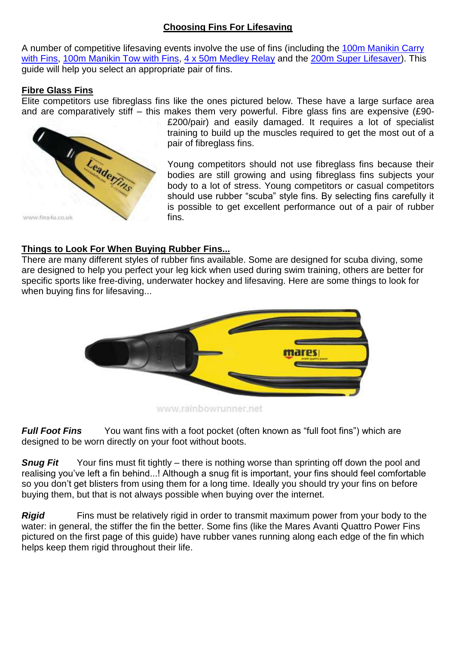## **Choosing Fins For Lifesaving**

A number of competitive lifesaving events involve the use of fins (including the [100m Manikin Carry](http://www.ilsf.org/index.php?q=en/lifesaving-sport/disciplines)  [with Fins, 100m Manikin Tow with Fins, 4 x 50m Medley Relay](http://www.ilsf.org/index.php?q=en/lifesaving-sport/disciplines) and the [200m Super Lifesaver\)](http://www.ilsf.org/index.php?q=en/lifesaving-sport/disciplines). This guide will help you select an appropriate pair of fins.

## **Fibre Glass Fins**

Elite competitors use fibreglass fins like the ones pictured below. These have a large surface area and are comparatively stiff – this makes them very powerful. Fibre glass fins are expensive (£90-



£200/pair) and easily damaged. It requires a lot of specialist training to build up the muscles required to get the most out of a pair of fibreglass fins.

Young competitors should not use fibreglass fins because their bodies are still growing and using fibreglass fins subjects your body to a lot of stress. Young competitors or casual competitors should use rubber "scuba" style fins. By selecting fins carefully it is possible to get excellent performance out of a pair of rubber fins.

# **Things to Look For When Buying Rubber Fins...**

There are many different styles of rubber fins available. Some are designed for scuba diving, some are designed to help you perfect your leg kick when used during swim training, others are better for specific sports like free-diving, underwater hockey and lifesaving. Here are some things to look for when buying fins for lifesaving...



www.rainbowrunner.net

*Full Foot Fins* You want fins with a foot pocket (often known as "full foot fins") which are designed to be worn directly on your foot without boots.

**Snug Fit** Your fins must fit tightly – there is nothing worse than sprinting off down the pool and realising you"ve left a fin behind...! Although a snug fit is important, your fins should feel comfortable so you don't get blisters from using them for a long time. Ideally you should try your fins on before buying them, but that is not always possible when buying over the internet.

**Rigid** Fins must be relatively rigid in order to transmit maximum power from your body to the water: in general, the stiffer the fin the better. Some fins (like the Mares Avanti Quattro Power Fins pictured on the first page of this guide) have rubber vanes running along each edge of the fin which helps keep them rigid throughout their life.